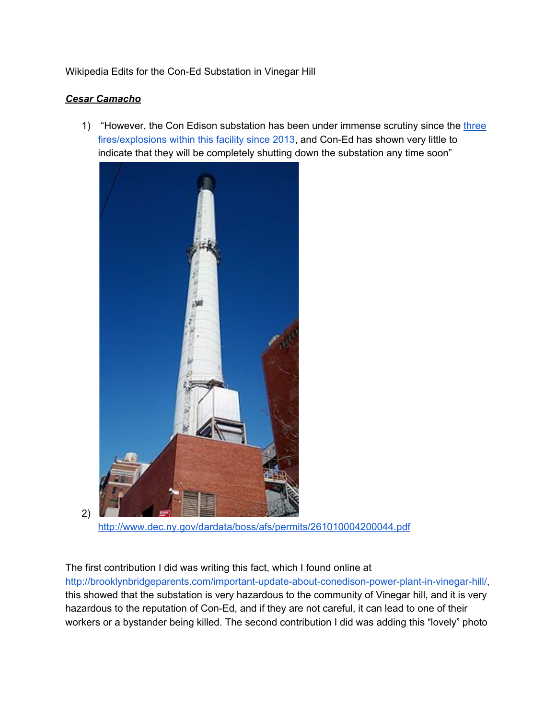## Wikipedia Edits for the Con-Ed Substation in Vinegar Hill

## *Cesar Camacho*

2)

1) "However, the Con Edison substation has been under immense scrutiny since th[e](http://brooklynbridgeparents.com/important-update-about-conedison-power-plant-in-vinegar-hill/) [three](http://brooklynbridgeparents.com/important-update-about-conedison-power-plant-in-vinegar-hill/) [fires/explosions](http://brooklynbridgeparents.com/important-update-about-conedison-power-plant-in-vinegar-hill/) within this facility since 2013, and Con-Ed has shown very little to indicate that they will be completely shutting down the substation any time soon"



<http://www.dec.ny.gov/dardata/boss/afs/permits/261010004200044.pdf>

The first contribution I did was writing this fact, which I found online at

[http://brooklynbridgeparents.com/important-update-about-conedison-power-plant-in-vinegar-hill/,](http://brooklynbridgeparents.com/important-update-about-conedison-power-plant-in-vinegar-hill/) this showed that the substation is very hazardous to the community of Vinegar hill, and it is very hazardous to the reputation of Con-Ed, and if they are not careful, it can lead to one of their workers or a bystander being killed. The second contribution I did was adding this "lovely" photo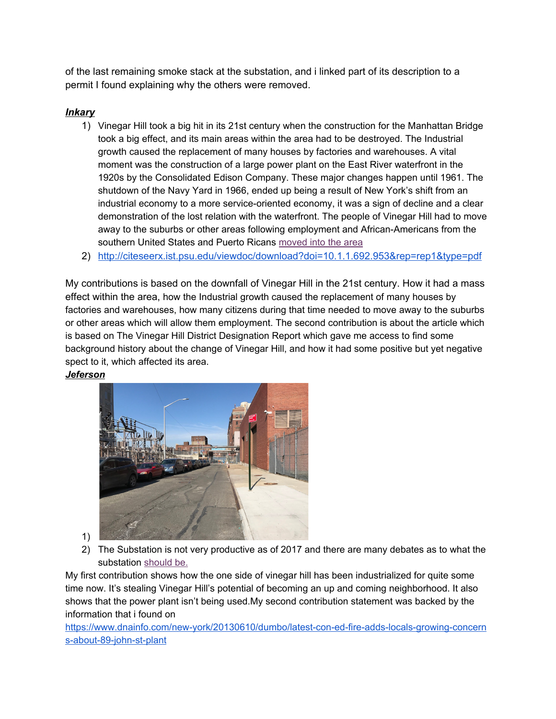of the last remaining smoke stack at the substation, and i linked part of its description to a permit I found explaining why the others were removed.

## *Inkary*

- 1) Vinegar Hill took a big hit in its 21st century when the construction for the Manhattan Bridge took a big effect, and its main areas within the area had to be destroyed. The Industrial growth caused the replacement of many houses by factories and warehouses. A vital moment was the construction of a large power plant on the East River waterfront in the 1920s by the Consolidated Edison Company. These major changes happen until 1961. The shutdown of the Navy Yard in 1966, ended up being a result of New York's shift from an industrial economy to a more service-oriented economy, it was a sign of decline and a clear demonstration of the lost relation with the waterfront. The people of Vinegar Hill had to move away to the suburbs or other areas following employment and African-Americans from the southern United States and Puerto Ricans [moved into the area](http://citeseerx.ist.psu.edu/viewdoc/download?doi=10.1.1.692.953&rep=rep1&type=pdf)
- 2) <http://citeseerx.ist.psu.edu/viewdoc/download?doi=10.1.1.692.953&rep=rep1&type=pdf>

My contributions is based on the downfall of Vinegar Hill in the 21st century. How it had a mass effect within the area, how the Industrial growth caused the replacement of many houses by factories and warehouses, how many citizens during that time needed to move away to the suburbs or other areas which will allow them employment. The second contribution is about the article which is based on The Vinegar Hill District Designation Report which gave me access to find some background history about the change of Vinegar Hill, and how it had some positive but yet negative spect to it, which affected its area.

## *Jeferson*



- 1)
- 2) The Substation is not very productive as of 2017 and there are many debates as to what the substation [should be.](https://www.dnainfo.com/new-york/20130610/dumbo/latest-con-ed-fire-adds-locals-growing-concerns-about-89-john-st-plant)

My first contribution shows how the one side of vinegar hill has been industrialized for quite some time now. It's stealing Vinegar Hill's potential of becoming an up and coming neighborhood. It also shows that the power plant isn't being used.My second contribution statement was backed by the information that i found on

[https://www.dnainfo.com/new-york/20130610/dumbo/latest-con-ed-fire-adds-locals-growing-concern](https://www.dnainfo.com/new-york/20130610/dumbo/latest-con-ed-fire-adds-locals-growing-concerns-about-89-john-st-plant) [s-about-89-john-st-plant](https://www.dnainfo.com/new-york/20130610/dumbo/latest-con-ed-fire-adds-locals-growing-concerns-about-89-john-st-plant)